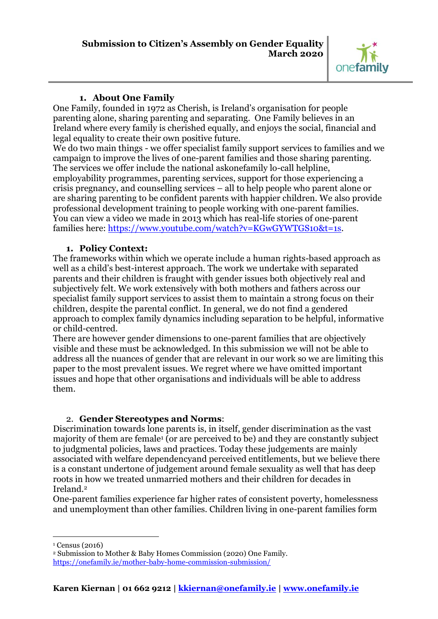

### **1. About One Family**

One Family, founded in 1972 as Cherish, is Ireland's organisation for people parenting alone, sharing parenting and separating. One Family believes in an Ireland where every family is cherished equally, and enjoys the social, financial and legal equality to create their own positive future.

We do two main things - we offer specialist family support services to families and we campaign to improve the lives of one-parent families and those sharing parenting. The services we offer include the national askonefamily lo-call helpline, employability programmes, parenting services, support for those experiencing a crisis pregnancy, and counselling services – all to help people who parent alone or are sharing parenting to be confident parents with happier children. We also provide professional development training to people working with one-parent families. You can view a video we made in 2013 which has real-life stories of one-parent families here: [https://www.youtube.com/watch?v=KGwGYWTGS10&t=1s.](https://www.youtube.com/watch?v=KGwGYWTGS10&t=1s)

### **1. Policy Context:**

The frameworks within which we operate include a human rights-based approach as well as a child's best-interest approach. The work we undertake with separated parents and their children is fraught with gender issues both objectively real and subjectively felt. We work extensively with both mothers and fathers across our specialist family support services to assist them to maintain a strong focus on their children, despite the parental conflict. In general, we do not find a gendered approach to complex family dynamics including separation to be helpful, informative or child-centred.

There are however gender dimensions to one-parent families that are objectively visible and these must be acknowledged. In this submission we will not be able to address all the nuances of gender that are relevant in our work so we are limiting this paper to the most prevalent issues. We regret where we have omitted important issues and hope that other organisations and individuals will be able to address them.

# 2. **Gender Stereotypes and Norms**:

Discrimination towards lone parents is, in itself, gender discrimination as the vast majority of them are female<sup>1</sup> (or are perceived to be) and they are constantly subject to judgmental policies, laws and practices. Today these judgements are mainly associated with welfare dependencyand perceived entitlements, but we believe there is a constant undertone of judgement around female sexuality as well that has deep roots in how we treated unmarried mothers and their children for decades in Ireland.<sup>2</sup>

One-parent families experience far higher rates of consistent poverty, homelessness and unemployment than other families. Children living in one-parent families form

<u>.</u> <sup>1</sup> Census (2016)

<sup>2</sup> Submission to Mother & Baby Homes Commission (2020) One Family. <https://onefamily.ie/mother-baby-home-commission-submission/>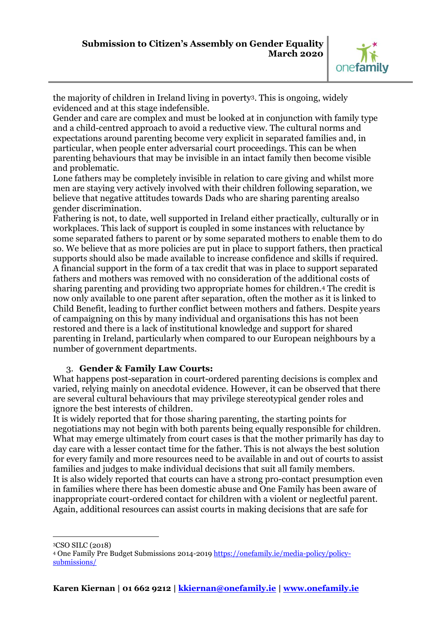

the majority of children in Ireland living in poverty3. This is ongoing, widely evidenced and at this stage indefensible.

Gender and care are complex and must be looked at in conjunction with family type and a child-centred approach to avoid a reductive view. The cultural norms and expectations around parenting become very explicit in separated families and, in particular, when people enter adversarial court proceedings. This can be when parenting behaviours that may be invisible in an intact family then become visible and problematic.

Lone fathers may be completely invisible in relation to care giving and whilst more men are staying very actively involved with their children following separation, we believe that negative attitudes towards Dads who are sharing parenting arealso gender discrimination.

Fathering is not, to date, well supported in Ireland either practically, culturally or in workplaces. This lack of support is coupled in some instances with reluctance by some separated fathers to parent or by some separated mothers to enable them to do so. We believe that as more policies are put in place to support fathers, then practical supports should also be made available to increase confidence and skills if required. A financial support in the form of a tax credit that was in place to support separated fathers and mothers was removed with no consideration of the additional costs of sharing parenting and providing two appropriate homes for children.<sup>4</sup> The credit is now only available to one parent after separation, often the mother as it is linked to Child Benefit, leading to further conflict between mothers and fathers. Despite years of campaigning on this by many individual and organisations this has not been restored and there is a lack of institutional knowledge and support for shared parenting in Ireland, particularly when compared to our European neighbours by a number of government departments.

# 3. **Gender & Family Law Courts:**

What happens post-separation in court-ordered parenting decisions is complex and varied, relying mainly on anecdotal evidence. However, it can be observed that there are several cultural behaviours that may privilege stereotypical gender roles and ignore the best interests of children.

It is widely reported that for those sharing parenting, the starting points for negotiations may not begin with both parents being equally responsible for children. What may emerge ultimately from court cases is that the mother primarily has day to day care with a lesser contact time for the father. This is not always the best solution for every family and more resources need to be available in and out of courts to assist families and judges to make individual decisions that suit all family members. It is also widely reported that courts can have a strong pro-contact presumption even in families where there has been domestic abuse and One Family has been aware of inappropriate court-ordered contact for children with a violent or neglectful parent. Again, additional resources can assist courts in making decisions that are safe for

<u>.</u> <sup>3</sup>CSO SILC (2018)

<sup>4</sup> One Family Pre Budget Submissions 2014-201[9 https://onefamily.ie/media-policy/policy](https://onefamily.ie/media-policy/policy-submissions/)[submissions/](https://onefamily.ie/media-policy/policy-submissions/)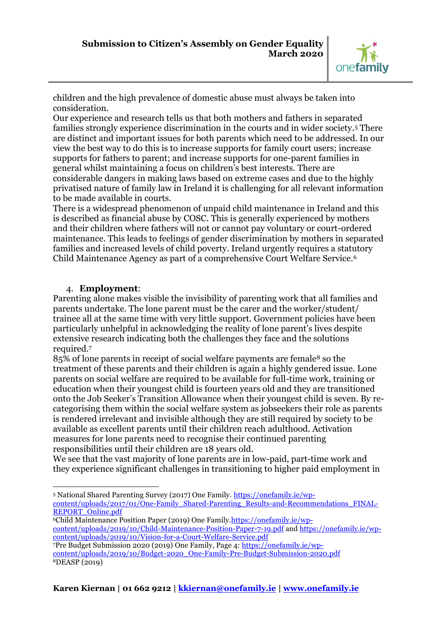

children and the high prevalence of domestic abuse must always be taken into consideration.

Our experience and research tells us that both mothers and fathers in separated families strongly experience discrimination in the courts and in wider society.<sup>5</sup> There are distinct and important issues for both parents which need to be addressed. In our view the best way to do this is to increase supports for family court users; increase supports for fathers to parent; and increase supports for one-parent families in general whilst maintaining a focus on children's best interests. There are considerable dangers in making laws based on extreme cases and due to the highly privatised nature of family law in Ireland it is challenging for all relevant information to be made available in courts.

There is a widespread phenomenon of unpaid child maintenance in Ireland and this is described as financial abuse by COSC. This is generally experienced by mothers and their children where fathers will not or cannot pay voluntary or court-ordered maintenance. This leads to feelings of gender discrimination by mothers in separated families and increased levels of child poverty. Ireland urgently requires a statutory Child Maintenance Agency as part of a comprehensive Court Welfare Service.<sup>6</sup>

### 4. **Employment**:

<u>.</u>

Parenting alone makes visible the invisibility of parenting work that all families and parents undertake. The lone parent must be the carer and the worker/student/ trainee all at the same time with very little support. Government policies have been particularly unhelpful in acknowledging the reality of lone parent's lives despite extensive research indicating both the challenges they face and the solutions required.<sup>7</sup>

85% of lone parents in receipt of social welfare payments are female<sup>8</sup> so the treatment of these parents and their children is again a highly gendered issue. Lone parents on social welfare are required to be available for full-time work, training or education when their youngest child is fourteen years old and they are transitioned onto the Job Seeker's Transition Allowance when their youngest child is seven. By recategorising them within the social welfare system as jobseekers their role as parents is rendered irrelevant and invisible although they are still required by society to be available as excellent parents until their children reach adulthood. Activation measures for lone parents need to recognise their continued parenting responsibilities until their children are 18 years old.

We see that the vast majority of lone parents are in low-paid, part-time work and they experience significant challenges in transitioning to higher paid employment in

<sup>5</sup> National Shared Parenting Survey (2017) One Family. [https://onefamily.ie/wp](https://onefamily.ie/wp-content/uploads/2017/01/One-Family_Shared-Parenting_Results-and-Recommendations_FINAL-REPORT_Online.pdf)[content/uploads/2017/01/One-Family\\_Shared-Parenting\\_Results-and-Recommendations\\_FINAL-](https://onefamily.ie/wp-content/uploads/2017/01/One-Family_Shared-Parenting_Results-and-Recommendations_FINAL-REPORT_Online.pdf)REPORT Online.pdf

<sup>6</sup>Child Maintenance Position Paper (2019) One Family[.https://onefamily.ie/wp](https://onefamily.ie/wp-content/uploads/2019/10/Child-Maintenance-Position-Paper-7-19.pdf)[content/uploads/2019/10/Child-Maintenance-Position-Paper-7-19.pdf](https://onefamily.ie/wp-content/uploads/2019/10/Child-Maintenance-Position-Paper-7-19.pdf) and [https://onefamily.ie/wp](https://onefamily.ie/wp-content/uploads/2019/10/Vision-for-a-Court-Welfare-Service.pdf)[content/uploads/2019/10/Vision-for-a-Court-Welfare-Service.pdf](https://onefamily.ie/wp-content/uploads/2019/10/Vision-for-a-Court-Welfare-Service.pdf)

<sup>7</sup>Pre Budget Submission 2020 (2019) One Family, Page 4: [https://onefamily.ie/wp](https://onefamily.ie/wp-content/uploads/2019/10/Budget-2020_One-Family-Pre-Budget-Submission-2020.pdf)[content/uploads/2019/10/Budget-2020\\_One-Family-Pre-Budget-Submission-2020.pdf](https://onefamily.ie/wp-content/uploads/2019/10/Budget-2020_One-Family-Pre-Budget-Submission-2020.pdf) 8DEASP (2019)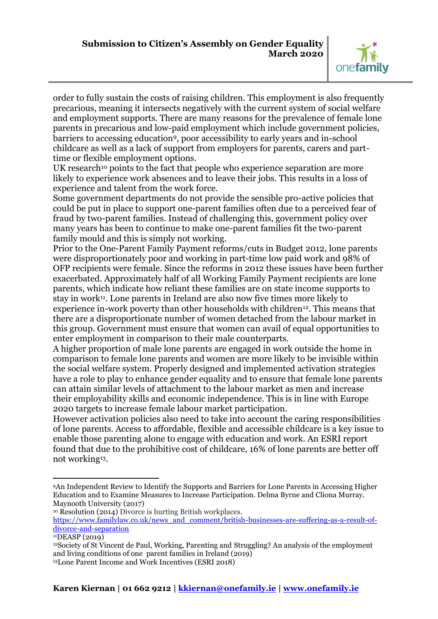

order to fully sustain the costs of raising children. This employment is also frequently precarious, meaning it intersects negatively with the current system of social welfare and employment supports. There are many reasons for the prevalence of female lone parents in precarious and low-paid employment which include government policies, barriers to accessing education9, poor accessibility to early years and in-school childcare as well as a lack of support from employers for parents, carers and parttime or flexible employment options.

UK research<sup>10</sup> points to the fact that people who experience separation are more likely to experience work absences and to leave their jobs. This results in a loss of experience and talent from the work force.

Some government departments do not provide the sensible pro-active policies that could be put in place to support one-parent families often due to a perceived fear of fraud by two-parent families. Instead of challenging this, government policy over many years has been to continue to make one-parent families fit the two-parent family mould and this is simply not working.

Prior to the One-Parent Family Payment reforms/cuts in Budget 2012, lone parents were disproportionately poor and working in part-time low paid work and 98% of OFP recipients were female. Since the reforms in 2012 these issues have been further exacerbated. Approximately half of all Working Family Payment recipients are lone parents, which indicate how reliant these families are on state income supports to stay in work11. Lone parents in Ireland are also now five times more likely to experience in-work poverty than other households with children<sup>12</sup>. This means that there are a disproportionate number of women detached from the labour market in this group. Government must ensure that women can avail of equal opportunities to enter employment in comparison to their male counterparts.

A higher proportion of male lone parents are engaged in work outside the home in comparison to female lone parents and women are more likely to be invisible within the social welfare system. Properly designed and implemented activation strategies have a role to play to enhance gender equality and to ensure that female lone parents can attain similar levels of attachment to the labour market as men and increase their employability skills and economic independence. This is in line with Europe 2020 targets to increase female labour market participation.

However activation policies also need to take into account the caring responsibilities of lone parents. Access to affordable, flexible and accessible childcare is a key issue to enable those parenting alone to engage with education and work. An ESRI report found that due to the prohibitive cost of childcare, 16% of lone parents are better off not working13.

-

<sup>9</sup>An Independent Review to Identify the Supports and Barriers for Lone Parents in Accessing Higher Education and to Examine Measures to Increase Participation. Delma Byrne and Clíona Murray. Maynooth University (2017)

<sup>&</sup>lt;sup>10</sup> Resolution (2014) Divorce is hurting British workplaces.

[https://www.familylaw.co.uk/news\\_and\\_comment/british-businesses-are-suffering-as-a-result-of](https://www.familylaw.co.uk/news_and_comment/british-businesses-are-suffering-as-a-result-of-divorce-and-separation)[divorce-and-separation](https://www.familylaw.co.uk/news_and_comment/british-businesses-are-suffering-as-a-result-of-divorce-and-separation)

<sup>11</sup>DEASP (2019)

<sup>&</sup>lt;sup>12</sup>Society of St Vincent de Paul, Working, Parenting and Struggling? An analysis of the employment and living conditions of one parent families in Ireland (2019) 13Lone Parent Income and Work Incentives (ESRI 2018)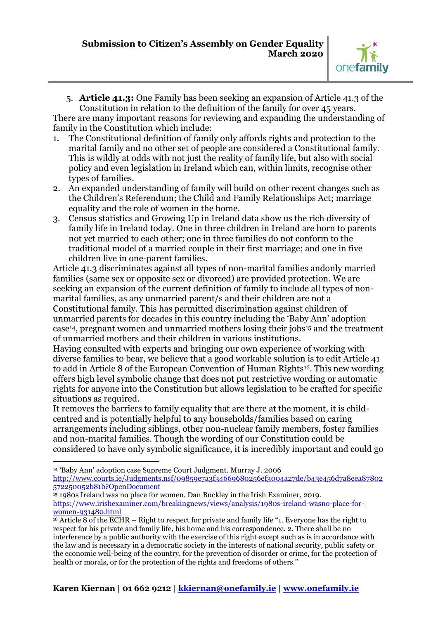

5. **Article 41.3:** One Family has been seeking an expansion of Article 41.3 of the Constitution in relation to the definition of the family for over 45 years.

There are many important reasons for reviewing and expanding the understanding of family in the Constitution which include:

- 1. The Constitutional definition of family only affords rights and protection to the marital family and no other set of people are considered a Constitutional family. This is wildly at odds with not just the reality of family life, but also with social policy and even legislation in Ireland which can, within limits, recognise other types of families.
- 2. An expanded understanding of family will build on other recent changes such as the Children's Referendum; the Child and Family [Relationships](http://www.justice.ie/en/JELR/Children%20and%20Family%20Relationships%20Bill%202013%20141113.pdf/Files/Children%20and%20Family%20Relationships%20Bill%202013%20141113.pdf) Act; marriage equality and the role of women in the home.
- 3. Census statistics and Growing Up in Ireland data show us the rich diversity of family life in Ireland today. One in three children in Ireland are born to parents not yet married to each other; one in three families do not conform to the traditional model of a married couple in their first marriage; and one in five children live in one-parent families.

Article 41.3 discriminates against all types of non-marital families andonly married families (same sex or opposite sex or divorced) are provided protection. We are seeking an expansion of the current definition of family to include all types of nonmarital families, as any unmarried parent/s and their children are not a Constitutional family. This has permitted discrimination against children of unmarried parents for decades in this country including the 'Baby Ann' adoption case14, pregnant women and unmarried mothers losing their jobs<sup>15</sup> and the treatment of unmarried mothers and their children in various institutions.

Having consulted with experts and bringing our own experience of working with diverse families to bear, we believe that a good workable solution is to edit Article 41 to add in Article 8 of the European Convention of Human Rights<sup>16</sup>. This new wording offers high level symbolic change that does not put restrictive wording or automatic rights for anyone into the Constitution but allows legislation to be crafted for specific situations as required.

It removes the barriers to family equality that are there at the moment, it is childcentred and is potentially helpful to any households/families based on caring arrangements including siblings, other non-nuclear family members, foster families and non-marital families. Though the wording of our Constitution could be considered to have only symbolic significance, it is incredibly important and could go

<u>.</u>

[http://www.courts.ie/Judgments.nsf/09859e7a3f34669680256ef3004a27de/b43e456d7a8eea87802](http://www.courts.ie/Judgments.nsf/09859e7a3f34669680256ef3004a27de/b43e456d7a8eea87802572250052b81b?OpenDocument) [572250052b81b?OpenDocument](http://www.courts.ie/Judgments.nsf/09859e7a3f34669680256ef3004a27de/b43e456d7a8eea87802572250052b81b?OpenDocument)

<sup>14</sup> 'Baby Ann' adoption case Supreme Court Judgment. Murray J. 2006

<sup>15</sup> 1980s Ireland was no place for women. Dan Buckley in the Irish Examiner, 2019. [https://www.irishexaminer.com/breakingnews/views/analysis/1980s-ireland-wasno-place-for](https://www.irishexaminer.com/breakingnews/views/analysis/1980s-ireland-wasno-place-for-women-931480.html)[women-931480.html](https://www.irishexaminer.com/breakingnews/views/analysis/1980s-ireland-wasno-place-for-women-931480.html)

<sup>16</sup> Article 8 of the ECHR – Right to respect for private and family life "1. Everyone has the right to respect for his private and family life, his home and his correspondence. 2. There shall be no interference by a public authority with the exercise of this right except such as is in accordance with the law and is necessary in a democratic society in the interests of national security, public safety or the economic well-being of the country, for the prevention of disorder or crime, for the protection of health or morals, or for the protection of the rights and freedoms of others."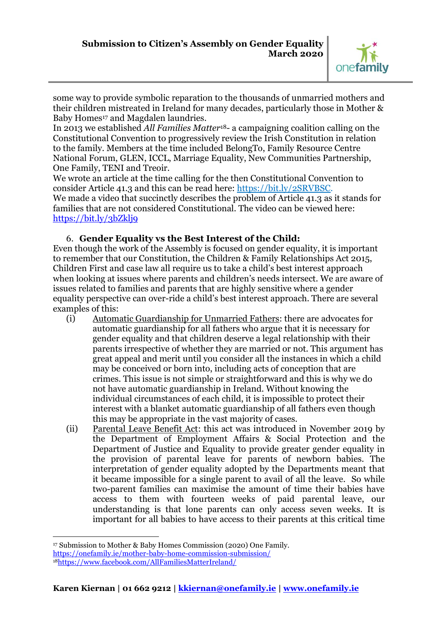

some way to provide symbolic reparation to the thousands of unmarried mothers and their children mistreated in Ireland for many decades, particularly those in Mother & Baby Homes <sup>17</sup> and Magdalen laundries.

In 2013 we established *All Families Matter*18- a campaigning coalition calling on the Constitutional Convention to progressively review the Irish Constitution in relation to the family. Members at the time included BelongTo, Family Resource Centre National Forum, GLEN, ICCL, Marriage Equality, New Communities Partnership, One Family, TENI and Treoir.

We wrote an article at the time calling for the then Constitutional Convention to consider Article 41.3 and this can be read here: [https://bit.ly/2SRVBSC.](https://bit.ly/2SRVBSC) We made a video that succinctly describes the problem of Article 41.3 as it stands for families that are not considered Constitutional. The video can be viewed here: <https://bit.ly/3bZklj9>

# 6. **Gender Equality vs the Best Interest of the Child:**

Even though the work of the Assembly is focused on gender equality, it is important to remember that our Constitution, the Children & Family Relationships Act 2015, Children First and case law all require us to take a child's best interest approach when looking at issues where parents and children's needs intersect. We are aware of issues related to families and parents that are highly sensitive where a gender equality perspective can over-ride a child's best interest approach. There are several examples of this:

- (i) Automatic Guardianship for Unmarried Fathers: there are advocates for automatic guardianship for all fathers who argue that it is necessary for gender equality and that children deserve a legal relationship with their parents irrespective of whether they are married or not. This argument has great appeal and merit until you consider all the instances in which a child may be conceived or born into, including acts of conception that are crimes. This issue is not simple or straightforward and this is why we do not have automatic guardianship in Ireland. Without knowing the individual circumstances of each child, it is impossible to protect their interest with a blanket automatic guardianship of all fathers even though this may be appropriate in the vast majority of cases.
- (ii) Parental Leave Benefit Act: this act was introduced in November 2019 by the Department of Employment Affairs & Social Protection and the Department of Justice and Equality to provide greater gender equality in the provision of parental leave for parents of newborn babies. The interpretation of gender equality adopted by the Departments meant that it became impossible for a single parent to avail of all the leave. So while two-parent families can maximise the amount of time their babies have access to them with fourteen weeks of paid parental leave, our understanding is that lone parents can only access seven weeks. It is important for all babies to have access to their parents at this critical time

<sup>&</sup>lt;u>.</u> <sup>17</sup> Submission to Mother & Baby Homes Commission (2020) One Family. <https://onefamily.ie/mother-baby-home-commission-submission/> 18<https://www.facebook.com/AllFamiliesMatterIreland/>